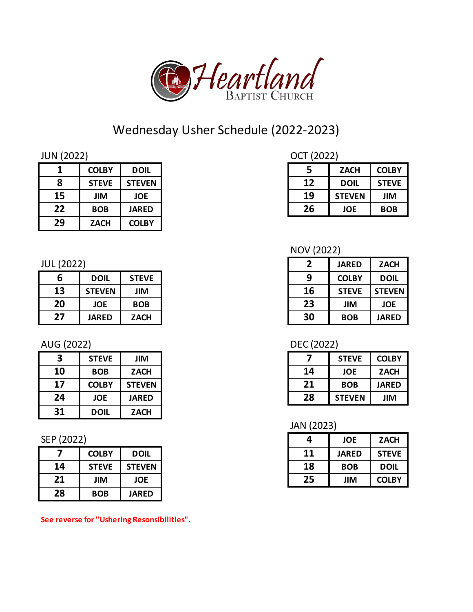

# Wednesday Usher Schedule (2022-2023)

| <b>JUN (2022)</b> |
|-------------------|
|-------------------|

|    | <b>COLBY</b> | <b>DOIL</b>   |
|----|--------------|---------------|
| 8  | <b>STEVE</b> | <b>STEVEN</b> |
| 15 | JIM          | <b>JOE</b>    |
| 22 | <b>BOB</b>   | <b>JARED</b>  |
| 29 | <b>ZACH</b>  | <b>COLBY</b>  |

#### JUL (2022)

| 6  | <b>DOIL</b>   | <b>STEVE</b> | a  | <b>COLBY</b> | <b>DOI</b>   |
|----|---------------|--------------|----|--------------|--------------|
| 13 | <b>STEVEN</b> | JIM          | 16 | <b>STEVE</b> | <b>STEVI</b> |
| 20 | <b>JOE</b>    | <b>BOB</b>   | 23 | <b>JIM</b>   | <b>JOE</b>   |
| 27 | <b>JARED</b>  | <b>ZACH</b>  | 30 | <b>BOB</b>   | <b>JARE</b>  |

#### AUG (2022)

| 3  | <b>STEVE</b> | JIM           |    | <b>STEVE</b>  | <b>COLB</b> |
|----|--------------|---------------|----|---------------|-------------|
| 10 | <b>BOB</b>   | <b>ZACH</b>   | 14 | <b>JOE</b>    | <b>ZACI</b> |
| 17 | <b>COLBY</b> | <b>STEVEN</b> | 21 | <b>BOB</b>    | <b>JARE</b> |
| 24 | <b>JOE</b>   | <b>JARED</b>  | 28 | <b>STEVEN</b> | <b>JIM</b>  |
| 31 | <b>DOIL</b>  | <b>ZACH</b>   |    |               |             |

## SEP (2022)

|    | <b>COLBY</b> | DOIL          |
|----|--------------|---------------|
| 14 | <b>STEVE</b> | <b>STEVEN</b> |
| 21 | JIM          | <b>JOE</b>    |
| 28 | <b>BOB</b>   | <b>JARED</b>  |

#### **See reverse for "Ushering Resonsibilities".**

## OCT (2022)

| 1  | <b>COLBY</b> | <b>DOIL</b>   |    | <b>ZACH</b>   | <b>COLBY</b> |
|----|--------------|---------------|----|---------------|--------------|
| 8  | <b>STEVE</b> | <b>STEVEN</b> | 12 | <b>DOIL</b>   | <b>STEVE</b> |
| 15 | <b>JIM</b>   | <b>JOE</b>    | 19 | <b>STEVEN</b> | JIM          |
| 22 | <b>BOB</b>   | <b>JARED</b>  | 26 | <b>JOE</b>    | <b>BOB</b>   |
|    |              |               |    |               |              |

## NOV (2022)

| (2022) |               |              | 2  | <b>JARED</b> | <b>ZACH</b>   |
|--------|---------------|--------------|----|--------------|---------------|
| 6      | <b>DOIL</b>   | <b>STEVE</b> | 9  | <b>COLBY</b> | <b>DOIL</b>   |
| 13     | <b>STEVEN</b> | JIM          | 16 | <b>STEVE</b> | <b>STEVEN</b> |
| 20     | <b>JOE</b>    | <b>BOB</b>   | 23 | <b>JIM</b>   | <b>JOE</b>    |
| 27     | <b>JARED</b>  | <b>ZACH</b>  | 30 | <b>BOB</b>   | <b>JARED</b>  |

## DEC (2022)

| $\overline{\mathbf{3}}$ | <b>STEVE</b> | ЛIГ           |    | <b>STEVE</b>  | <b>COLBY</b> |
|-------------------------|--------------|---------------|----|---------------|--------------|
| 10                      | <b>BOB</b>   | <b>ZACH</b>   | 14 | <b>JOE</b>    | <b>ZACH</b>  |
| 17                      | <b>COLBY</b> | <b>STEVEN</b> | 21 | <b>BOB</b>    | <b>JARED</b> |
| 24                      | <b>JOE</b>   | <b>JARED</b>  | 28 | <b>STEVEN</b> | <b>JIM</b>   |

#### JAN (2023)

| (2022) |              |               | 4  | <b>JOE</b>   | <b>ZACH</b>  |
|--------|--------------|---------------|----|--------------|--------------|
|        | <b>COLBY</b> | <b>DOIL</b>   | 11 | <b>JARED</b> | <b>STEVE</b> |
| 14     | <b>STEVE</b> | <b>STEVEN</b> | 18 | <b>BOB</b>   | <b>DOIL</b>  |
| 21     | <b>JIM</b>   | <b>JOE</b>    | 25 | JIM          | <b>COLBY</b> |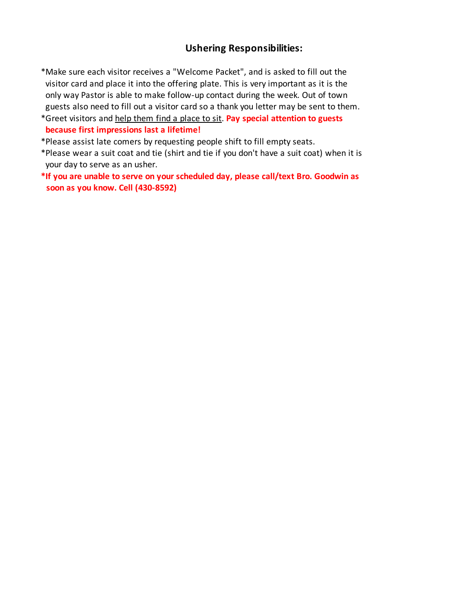#### **Ushering Responsibilities:**

- only way Pastor is able to make follow-up contact during the week. Out of town guests also need to fill out a visitor card so a thank you letter may be sent to them. visitor card and place it into the offering plate. This is very important as it is the \*Make sure each visitor receives a "Welcome Packet", and is asked to fill out the
- \*Greet visitors and help them find a place to sit. **Pay special attention to guests because first impressions last a lifetime!**
- \*Please assist late comers by requesting people shift to fill empty seats.
- your day to serve as an usher. \*Please wear a suit coat and tie (shirt and tie if you don't have a suit coat) when it is
- **\*If you are unable to serve on your scheduled day, please call/text Bro. Goodwin as soon as you know. Cell (430-8592)**